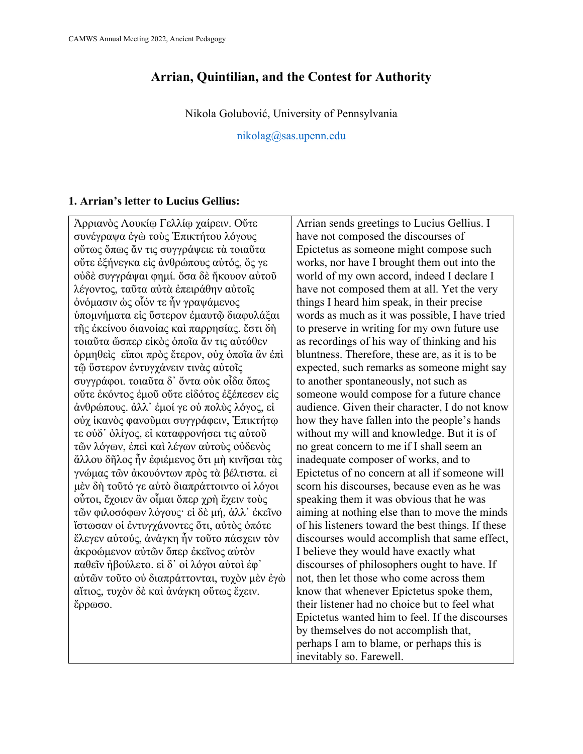## **Arrian, Quintilian, and the Contest for Authority**

Nikola Golubović, University of Pennsylvania

[nikolag@sas.upenn.edu](mailto:nikolag@sas.upenn.edu)

## **1. Arrian's letter to Lucius Gellius:**

Ἀρριανὸς Λουκίῳ Γελλίῳ χαίρειν. Οὔτε συνέγραψα ἐγὼ τοὺς Ἐπικτήτου λόγους οὕτως ὅπως ἄν τις συγγράψειε τὰ τοιαῦτα οὔτε ἐξήνεγκα εἰς ἀνθρώπους αὐτός, ὅς γε οὐδὲ συγγράψαι φημί. ὅσα δὲ ἤκουον αὐτοῦ λέγοντος, ταῦτα αὐτὰ ἐπειράθην αὐτοῖς ὀνόμασιν ὡς οἷόν τε ἦν γραψάμενος ὑπομνήματα εἰς ὕστερον ἐμαυτῷ διαφυλάξαι τῆς ἐκείνου διανοίας καὶ παρρησίας. ἔστι δὴ τοιαῦτα ὥσπερ εἰκὸς ὁποῖα ἄν τις αὐτόθεν ὁρμηθεὶς εἴποι πρὸς ἕτερον, οὐχ ὁποῖα ἂν ἐπὶ τῷ ὕστερον ἐντυγχάνειν τινὰς αὐτοῖς συγγράφοι. τοιαῦτα δ᾿ ὄντα οὐκ οἶδα ὅπως οὔτε ἑκόντος ἐμοῦ οὔτε εἰδότος ἐξέπεσεν εἰς ἀνθρώπους. ἀλλ᾿ ἐμοί γε οὐ πολὺς λόγος, εἰ οὐχ ἱκανὸς φανοῦμαι συγγράφειν, Ἐπικτήτῳ τε οὐδ᾿ ὀλίγος, εἰ καταφρονήσει τις αὐτοῦ τῶν λόγων, ἐπεὶ καὶ λέγων αὐτοὺς οὐδενὸς ἄλλου δῆλος ἦν ἐφιέμενος ὅτι μὴ κινῆσαι τὰς γνώμας τῶν ἀκουόντων πρὸς τὰ βέλτιστα. εἰ μὲν δὴ τοῦτό γε αὐτὸ διαπράττοιντο οἱ λόγοι οὗτοι, ἔχοιεν ἂν οἶμαι ὅπερ χρὴ ἔχειν τοὺς τῶν φιλοσόφων λόγους· εἰ δὲ μή, ἀλλ᾿ ἐκεῖνο ἴστωσαν οἱ ἐντυγχάνοντες ὅτι, αὐτὸς ὁπότε ἔλεγεν αὐτούς, ἀνάγκη ἦν τοῦτο πάσχειν τὸν ἀκροώμενον αὐτῶν ὅπερ ἐκεῖνος αὐτὸν παθεῖν ἠβούλετο. εἰ δ᾿ οἱ λόγοι αὐτοὶ ἐφ᾿ αὑτῶν τοῦτο οὐ διαπράττονται, τυχὸν μὲν ἐγὼ αἴτιος, τυχὸν δὲ καὶ ἀνάγκη οὕτως ἔχειν. ἔρρωσο.

Arrian sends greetings to Lucius Gellius. I have not composed the discourses of Epictetus as someone might compose such works, nor have I brought them out into the world of my own accord, indeed I declare I have not composed them at all. Yet the very things I heard him speak, in their precise words as much as it was possible, I have tried to preserve in writing for my own future use as recordings of his way of thinking and his bluntness. Therefore, these are, as it is to be expected, such remarks as someone might say to another spontaneously, not such as someone would compose for a future chance audience. Given their character, I do not know how they have fallen into the people's hands without my will and knowledge. But it is of no great concern to me if I shall seem an inadequate composer of works, and to Epictetus of no concern at all if someone will scorn his discourses, because even as he was speaking them it was obvious that he was aiming at nothing else than to move the minds of his listeners toward the best things. If these discourses would accomplish that same effect, I believe they would have exactly what discourses of philosophers ought to have. If not, then let those who come across them know that whenever Epictetus spoke them, their listener had no choice but to feel what Epictetus wanted him to feel. If the discourses by themselves do not accomplish that, perhaps I am to blame, or perhaps this is inevitably so. Farewell.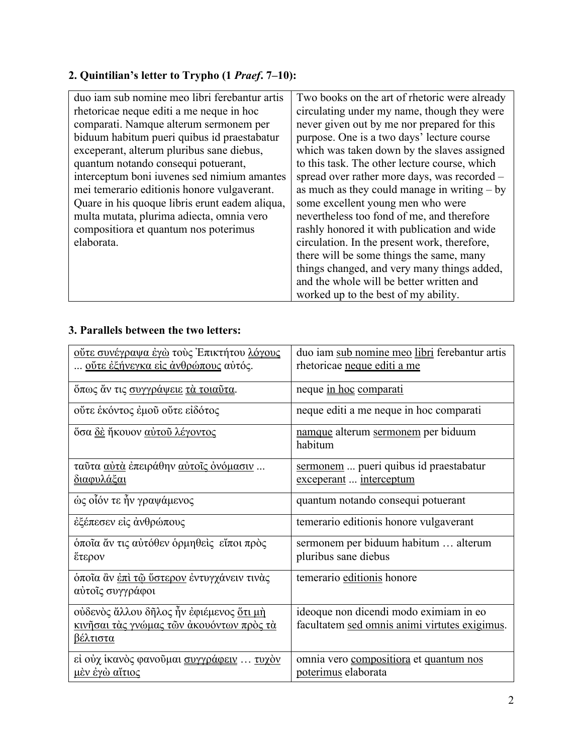# **2. Quintilian's letter to Trypho (1** *Praef***. 7–10):**

| duo iam sub nomine meo libri ferebantur artis  | Two books on the art of rhetoric were already  |
|------------------------------------------------|------------------------------------------------|
|                                                |                                                |
| rhetoricae neque editi a me neque in hoc       | circulating under my name, though they were    |
| comparati. Namque alterum sermonem per         | never given out by me nor prepared for this    |
| biduum habitum pueri quibus id praestabatur    | purpose. One is a two days' lecture course     |
| exceperant, alterum pluribus sane diebus,      | which was taken down by the slaves assigned    |
| quantum notando consequi potuerant,            | to this task. The other lecture course, which  |
| interceptum boni iuvenes sed nimium amantes    | spread over rather more days, was recorded -   |
| mei temerario editionis honore vulgaverant.    | as much as they could manage in writing $-$ by |
| Quare in his quoque libris erunt eadem aliqua, | some excellent young men who were              |
| multa mutata, plurima adiecta, omnia vero      | nevertheless too fond of me, and therefore     |
| compositiora et quantum nos poterimus          | rashly honored it with publication and wide    |
| elaborata.                                     | circulation. In the present work, therefore,   |
|                                                | there will be some things the same, many       |
|                                                | things changed, and very many things added,    |
|                                                | and the whole will be better written and       |
|                                                | worked up to the best of my ability.           |

## **3. Parallels between the two letters:**

| <u>ούτε συνέγραψα έγὼ</u> τους Έπικτήτου <u>λόγους</u><br><u>οὔτε ἐξήνεγκα εἰς ἀνθρώπους</u> αὐτός.           | duo iam sub nomine meo libri ferebantur artis<br>rhetoricae neque editi a me            |
|---------------------------------------------------------------------------------------------------------------|-----------------------------------------------------------------------------------------|
| όπως άν τις συγγράψειε τα τοιαύτα.                                                                            | neque in hoc comparati                                                                  |
| ούτε εκόντος έμου ούτε είδότος                                                                                | neque editi a me neque in hoc comparati                                                 |
| <u>ὄσα δὲ ἤκουον αὐτοῦ λέγοντος</u>                                                                           | namque alterum sermonem per biduum<br>habitum                                           |
| ταῦτα <u>αὐτὰ</u> ἐπειράθην <u>αὐτοῖς ὀνόμασιν</u><br><u>διαφυλάξαι</u>                                       | sermonem  pueri quibus id praestabatur<br>exceperant  interceptum                       |
| ώς οἶόν τε ἦν γραψάμενος                                                                                      | quantum notando consequi potuerant                                                      |
| έξέπεσεν είς άνθρώπους                                                                                        | temerario editionis honore vulgaverant                                                  |
| όποῖα ἄν τις αὐτόθεν ὁρμηθεὶς εἴποι πρὸς<br>έτερον                                                            | sermonem per biduum habitum  alterum<br>pluribus sane diebus                            |
| όποῖα ἂν <u>ἐπὶ τῷ ὕστερον</u> ἐντυγχάνειν τινὰς<br>αύτοις συγγράφοι                                          | temerario editionis honore                                                              |
| ούδενος άλλου δήλος ήν έφιέμενος ότι μή<br><u>κινῆσαι τὰς γνώμας τῶν ἀκουόντων πρὸς τὰ</u><br><u>βέλτιστα</u> | ideoque non dicendi modo eximiam in eo<br>facultatem sed omnis animi virtutes exigimus. |
| εί ούχ ίκανός φανούμαι συγγράφειν  τυχόν<br><u>μὲν ἐγὼ αἴτιος</u>                                             | omnia vero compositiora et quantum nos<br>poterimus elaborata                           |